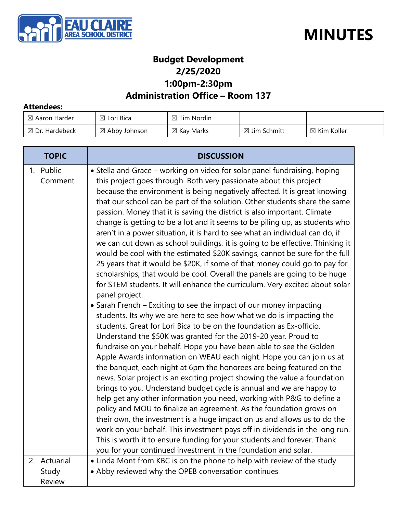



### **Budget Development 2/25/2020 1:00pm-2:30pm**

### **Administration Office – Room 137**

#### **Attendees:**

| $\boxtimes$ Aaron Harder  | $\boxtimes$ Lori Bica    | $\boxtimes$ Tim Nordin |                         |                        |
|---------------------------|--------------------------|------------------------|-------------------------|------------------------|
| $\boxtimes$ Dr. Hardebeck | $\boxtimes$ Abby Johnson | $\boxtimes$ Kay Marks  | $\boxtimes$ Jim Schmitt | $\boxtimes$ Kim Koller |

| <b>TOPIC</b>         | <b>DISCUSSION</b>                                                                                                                                                                                                                                                                                                                                                                                                                                                                                                                                                                                                                                                                                                                                                                                                                                                                                                                                                                                                                                                                                                                                                                                                                                                                                                                                                                                                                                                                                                                                                                                                                                                                                                                                                                                                                                                                                                                                                                                                                                                                                               |
|----------------------|-----------------------------------------------------------------------------------------------------------------------------------------------------------------------------------------------------------------------------------------------------------------------------------------------------------------------------------------------------------------------------------------------------------------------------------------------------------------------------------------------------------------------------------------------------------------------------------------------------------------------------------------------------------------------------------------------------------------------------------------------------------------------------------------------------------------------------------------------------------------------------------------------------------------------------------------------------------------------------------------------------------------------------------------------------------------------------------------------------------------------------------------------------------------------------------------------------------------------------------------------------------------------------------------------------------------------------------------------------------------------------------------------------------------------------------------------------------------------------------------------------------------------------------------------------------------------------------------------------------------------------------------------------------------------------------------------------------------------------------------------------------------------------------------------------------------------------------------------------------------------------------------------------------------------------------------------------------------------------------------------------------------------------------------------------------------------------------------------------------------|
| 1. Public<br>Comment | • Stella and Grace - working on video for solar panel fundraising, hoping<br>this project goes through. Both very passionate about this project<br>because the environment is being negatively affected. It is great knowing<br>that our school can be part of the solution. Other students share the same<br>passion. Money that it is saving the district is also important. Climate<br>change is getting to be a lot and it seems to be piling up, as students who<br>aren't in a power situation, it is hard to see what an individual can do, if<br>we can cut down as school buildings, it is going to be effective. Thinking it<br>would be cool with the estimated \$20K savings, cannot be sure for the full<br>25 years that it would be \$20K, if some of that money could go to pay for<br>scholarships, that would be cool. Overall the panels are going to be huge<br>for STEM students. It will enhance the curriculum. Very excited about solar<br>panel project.<br>• Sarah French – Exciting to see the impact of our money impacting<br>students. Its why we are here to see how what we do is impacting the<br>students. Great for Lori Bica to be on the foundation as Ex-officio.<br>Understand the \$50K was granted for the 2019-20 year. Proud to<br>fundraise on your behalf. Hope you have been able to see the Golden<br>Apple Awards information on WEAU each night. Hope you can join us at<br>the banquet, each night at 6pm the honorees are being featured on the<br>news. Solar project is an exciting project showing the value a foundation<br>brings to you. Understand budget cycle is annual and we are happy to<br>help get any other information you need, working with P&G to define a<br>policy and MOU to finalize an agreement. As the foundation grows on<br>their own, the investment is a huge impact on us and allows us to do the<br>work on your behalf. This investment pays off in dividends in the long run.<br>This is worth it to ensure funding for your students and forever. Thank<br>you for your continued investment in the foundation and solar. |
| 2. Actuarial         | • Linda Mont from KBC is on the phone to help with review of the study                                                                                                                                                                                                                                                                                                                                                                                                                                                                                                                                                                                                                                                                                                                                                                                                                                                                                                                                                                                                                                                                                                                                                                                                                                                                                                                                                                                                                                                                                                                                                                                                                                                                                                                                                                                                                                                                                                                                                                                                                                          |
| Study                | • Abby reviewed why the OPEB conversation continues                                                                                                                                                                                                                                                                                                                                                                                                                                                                                                                                                                                                                                                                                                                                                                                                                                                                                                                                                                                                                                                                                                                                                                                                                                                                                                                                                                                                                                                                                                                                                                                                                                                                                                                                                                                                                                                                                                                                                                                                                                                             |
| <b>Review</b>        |                                                                                                                                                                                                                                                                                                                                                                                                                                                                                                                                                                                                                                                                                                                                                                                                                                                                                                                                                                                                                                                                                                                                                                                                                                                                                                                                                                                                                                                                                                                                                                                                                                                                                                                                                                                                                                                                                                                                                                                                                                                                                                                 |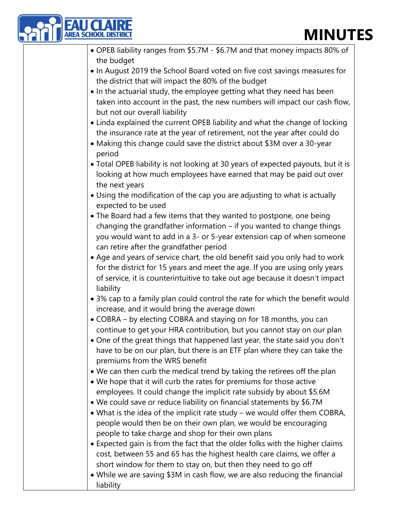# **ES**

| <b>U CLA</b><br><b>MINUT</b><br><b>AREA SCHOOL DISTRIC</b>                                                                                               |
|----------------------------------------------------------------------------------------------------------------------------------------------------------|
|                                                                                                                                                          |
| • OPEB liability ranges from \$5.7M - \$6.7M and that money impacts 80% of                                                                               |
| the budget                                                                                                                                               |
| . In August 2019 the School Board voted on five cost savings measures for<br>the district that will impact the 80% of the budget                         |
| • In the actuarial study, the employee getting what they need has been                                                                                   |
| taken into account in the past, the new numbers will impact our cash flow,                                                                               |
| but not our overall liability                                                                                                                            |
| • Linda explained the current OPEB liability and what the change of locking<br>the insurance rate at the year of retirement, not the year after could do |
| • Making this change could save the district about \$3M over a 30-year<br>period                                                                         |
| • Total OPEB liability is not looking at 30 years of expected payouts, but it is                                                                         |
| looking at how much employees have earned that may be paid out over<br>the next years                                                                    |
| • Using the modification of the cap you are adjusting to what is actually<br>expected to be used                                                         |
| • The Board had a few items that they wanted to postpone, one being                                                                                      |
| changing the grandfather information - if you wanted to change things                                                                                    |
| you would want to add in a 3- or 5-year extension cap of when someone<br>can retire after the grandfather period                                         |
| . Age and years of service chart, the old benefit said you only had to work                                                                              |
| for the district for 15 years and meet the age. If you are using only years                                                                              |
| of service, it is counterintuitive to take out age because it doesn't impact<br>liability                                                                |
| • 3% cap to a family plan could control the rate for which the benefit would                                                                             |
| increase, and it would bring the average down                                                                                                            |
| • COBRA – by electing COBRA and staying on for 18 months, you can                                                                                        |
| continue to get your HRA contribution, but you cannot stay on our plan                                                                                   |
| • One of the great things that happened last year, the state said you don't                                                                              |
| have to be on our plan, but there is an ETF plan where they can take the                                                                                 |
| premiums from the WRS benefit                                                                                                                            |
| . We can then curb the medical trend by taking the retirees off the plan                                                                                 |
| . We hope that it will curb the rates for premiums for those active                                                                                      |
| employees. It could change the implicit rate subsidy by about \$5.6M                                                                                     |
| • We could save or reduce liability on financial statements by \$6.7M                                                                                    |
| • What is the idea of the implicit rate study – we would offer them COBRA,                                                                               |
| people would then be on their own plan, we would be encouraging                                                                                          |
| people to take charge and shop for their own plans                                                                                                       |

- Expected gain is from the fact that the older folks with the higher claims cost, between 55 and 65 has the highest health care claims, we offer a short window for them to stay on, but then they need to go off
- While we are saving \$3M in cash flow, we are also reducing the financial liability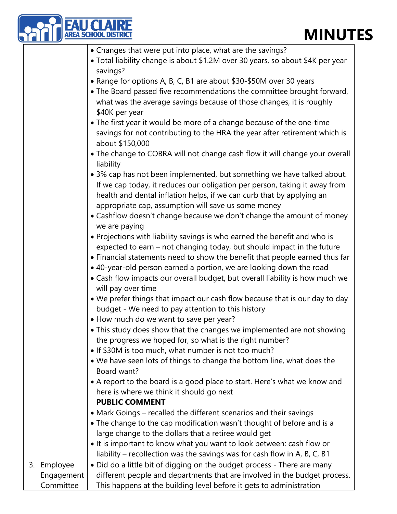## **MINUTES**

|                              | <b>MINUT</b>                                                                                                                                                                                                                                                                                                                                                                              |
|------------------------------|-------------------------------------------------------------------------------------------------------------------------------------------------------------------------------------------------------------------------------------------------------------------------------------------------------------------------------------------------------------------------------------------|
|                              | • Changes that were put into place, what are the savings?<br>• Total liability change is about \$1.2M over 30 years, so about \$4K per year<br>savings?                                                                                                                                                                                                                                   |
|                              | • Range for options A, B, C, B1 are about \$30-\$50M over 30 years<br>• The Board passed five recommendations the committee brought forward,<br>what was the average savings because of those changes, it is roughly<br>\$40K per year                                                                                                                                                    |
|                              | • The first year it would be more of a change because of the one-time<br>savings for not contributing to the HRA the year after retirement which is<br>about \$150,000                                                                                                                                                                                                                    |
|                              | • The change to COBRA will not change cash flow it will change your overall<br>liability                                                                                                                                                                                                                                                                                                  |
|                              | • 3% cap has not been implemented, but something we have talked about.<br>If we cap today, it reduces our obligation per person, taking it away from<br>health and dental inflation helps, if we can curb that by applying an<br>appropriate cap, assumption will save us some money                                                                                                      |
|                              | • Cashflow doesn't change because we don't change the amount of money<br>we are paying                                                                                                                                                                                                                                                                                                    |
|                              | • Projections with liability savings is who earned the benefit and who is<br>expected to earn - not changing today, but should impact in the future<br>• Financial statements need to show the benefit that people earned thus far<br>• 40-year-old person earned a portion, we are looking down the road<br>• Cash flow impacts our overall budget, but overall liability is how much we |
|                              | will pay over time<br>. We prefer things that impact our cash flow because that is our day to day<br>budget - We need to pay attention to this history                                                                                                                                                                                                                                    |
|                              | • How much do we want to save per year?<br>• This study does show that the changes we implemented are not showing<br>the progress we hoped for, so what is the right number?<br>• If \$30M is too much, what number is not too much?                                                                                                                                                      |
|                              | . We have seen lots of things to change the bottom line, what does the<br>Board want?                                                                                                                                                                                                                                                                                                     |
|                              | • A report to the board is a good place to start. Here's what we know and<br>here is where we think it should go next<br><b>PUBLIC COMMENT</b>                                                                                                                                                                                                                                            |
|                              | • Mark Goings – recalled the different scenarios and their savings<br>• The change to the cap modification wasn't thought of before and is a<br>large change to the dollars that a retiree would get<br>• It is important to know what you want to look between: cash flow or<br>liability – recollection was the savings was for cash flow in A, B, C, B1                                |
| 3.<br>Employee<br>Engagement | • Did do a little bit of digging on the budget process - There are many<br>different people and departments that are involved in the budget process.                                                                                                                                                                                                                                      |
| Committee                    | This happens at the building level before it gets to administration                                                                                                                                                                                                                                                                                                                       |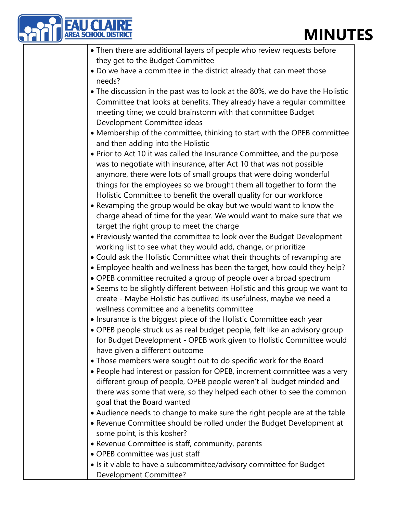## **MINUTES**